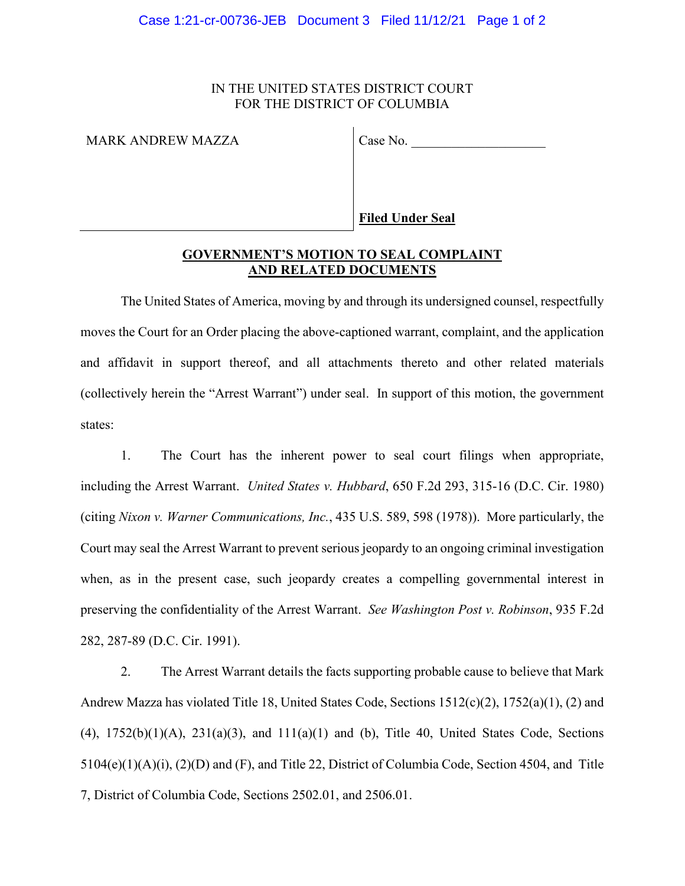# IN THE UNITED STATES DISTRICT COURT FOR THE DISTRICT OF COLUMBIA

MARK ANDREW MAZZA Case No.

**Filed Under Seal**

# **GOVERNMENT'S MOTION TO SEAL COMPLAINT AND RELATED DOCUMENTS**

The United States of America, moving by and through its undersigned counsel, respectfully moves the Court for an Order placing the above-captioned warrant, complaint, and the application and affidavit in support thereof, and all attachments thereto and other related materials (collectively herein the "Arrest Warrant") under seal. In support of this motion, the government states:

1. The Court has the inherent power to seal court filings when appropriate, including the Arrest Warrant. *United States v. Hubbard*, 650 F.2d 293, 315-16 (D.C. Cir. 1980) (citing *Nixon v. Warner Communications, Inc.*, 435 U.S. 589, 598 (1978)). More particularly, the Court may seal the Arrest Warrant to prevent serious jeopardy to an ongoing criminal investigation when, as in the present case, such jeopardy creates a compelling governmental interest in preserving the confidentiality of the Arrest Warrant. *See Washington Post v. Robinson*, 935 F.2d 282, 287-89 (D.C. Cir. 1991).

2. The Arrest Warrant details the facts supporting probable cause to believe that Mark Andrew Mazza has violated Title 18, United States Code, Sections 1512(c)(2), 1752(a)(1), (2) and (4),  $1752(b)(1)(A)$ ,  $231(a)(3)$ , and  $111(a)(1)$  and (b), Title 40, United States Code, Sections 5104(e)(1)(A)(i), (2)(D) and (F), and Title 22, District of Columbia Code, Section 4504, and Title 7, District of Columbia Code, Sections 2502.01, and 2506.01.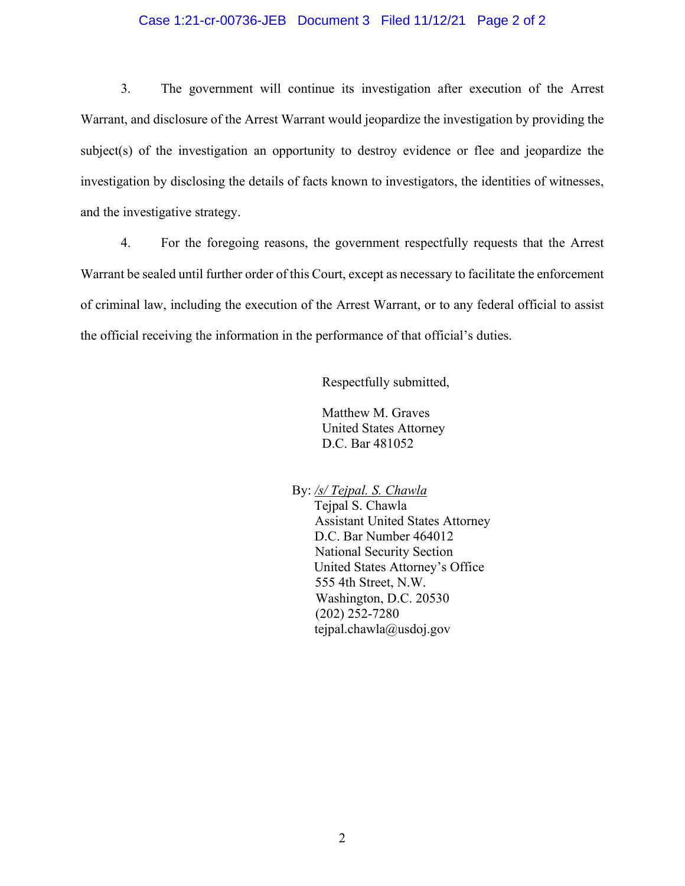### Case 1:21-cr-00736-JEB Document 3 Filed 11/12/21 Page 2 of 2

3. The government will continue its investigation after execution of the Arrest Warrant, and disclosure of the Arrest Warrant would jeopardize the investigation by providing the subject(s) of the investigation an opportunity to destroy evidence or flee and jeopardize the investigation by disclosing the details of facts known to investigators, the identities of witnesses, and the investigative strategy.

4. For the foregoing reasons, the government respectfully requests that the Arrest Warrant be sealed until further order of this Court, except as necessary to facilitate the enforcement of criminal law, including the execution of the Arrest Warrant, or to any federal official to assist the official receiving the information in the performance of that official's duties.

Respectfully submitted,

Matthew M. Graves United States Attorney D.C. Bar 481052

By: */s/ Tejpal. S. Chawla*

 Tejpal S. Chawla Assistant United States Attorney D.C. Bar Number 464012 National Security Section United States Attorney's Office 555 4th Street, N.W. Washington, D.C. 20530 (202) 252-7280 tejpal.chawla@usdoj.gov